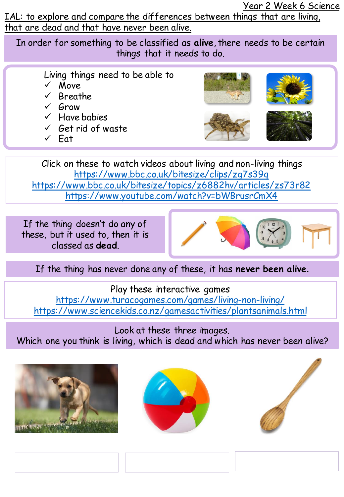Year 2 Week 6 Science

IAL: to explore and compare the differences between things that are living, that are dead and that have never been alive.

In order for something to be classified as **alive**, there needs to be certain things that it needs to do.

Living things need to be able to

- ✓ Move
- **Breathe**
- ✓ Grow
- ✓ Have babies
- ✓ Get rid of waste
- ✓ Eat







Click on these to watch videos about living and non-living things <https://www.bbc.co.uk/bitesize/clips/zg7s39q> <https://www.bbc.co.uk/bitesize/topics/z6882hv/articles/zs73r82> <https://www.youtube.com/watch?v=bWBrusrCmX4>

If the thing doesn't do any of these, but it used to, then it is classed as **dead**.



If the thing has never done any of these, it has **never been alive.** 

Play these interactive games <https://www.turacogames.com/games/living-non-living/> <https://www.sciencekids.co.nz/gamesactivities/plantsanimals.html>

Look at these three images. Which one you think is living, which is dead and which has never been alive?





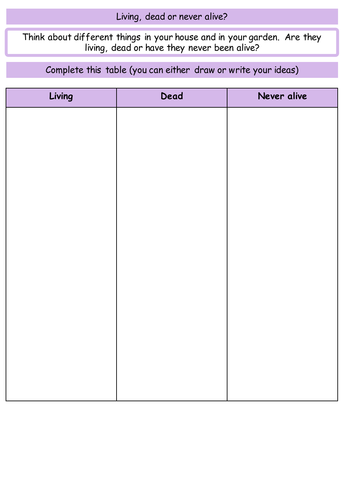## Living, dead or never alive?

Think about different things in your house and in your garden. Are they living, dead or have they never been alive?

Complete this table (you can either draw or write your ideas)

| Living | Dead | Never alive |
|--------|------|-------------|
|        |      |             |
|        |      |             |
|        |      |             |
|        |      |             |
|        |      |             |
|        |      |             |
|        |      |             |
|        |      |             |
|        |      |             |
|        |      |             |
|        |      |             |
|        |      |             |
|        |      |             |
|        |      |             |
|        |      |             |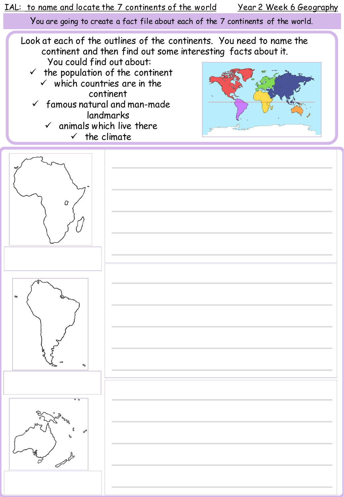IAL: to name and locate the 7 continents of the world Year 2 Week 6 Geography

You are going to create a fact file about each of the 7 continents of the world.

Look at each of the outlines of the continents. You need to name the continent and then find out some interesting facts about it. You could find out about:

- $\checkmark$  the population of the continent
	- $\checkmark$  which countries are in the continent
- $\checkmark$  famous natural and man-made landmarks
	- $\checkmark$  animals which live there
		- $\checkmark$  the climate



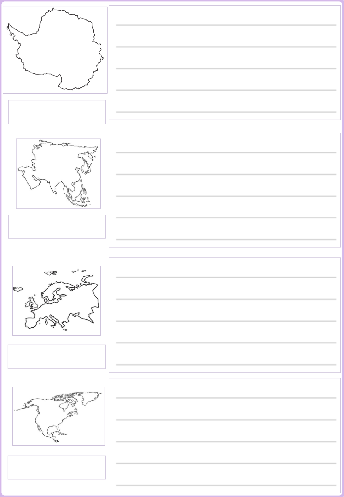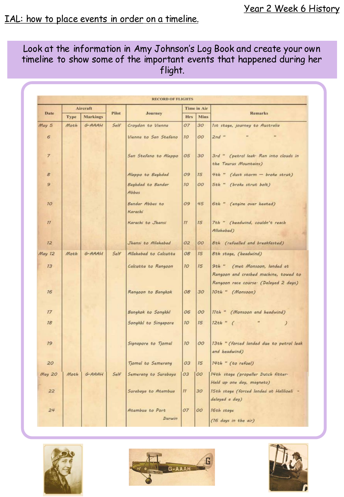## IAL: how to place events in order on a timeline.

## Look at the information in Amy Johnson's Log Book and create your own timeline to show some of the important events that happened during her flight.

| <b>RECORD OF FLIGHTS</b> |             |                 |              |                                           |                    |                  |                                                                                                                                    |
|--------------------------|-------------|-----------------|--------------|-------------------------------------------|--------------------|------------------|------------------------------------------------------------------------------------------------------------------------------------|
| Date                     |             | Aircraft        |              | Journey                                   | <b>Time in Air</b> |                  | <b>Remarks</b>                                                                                                                     |
|                          | <b>Type</b> | <b>Markings</b> | <b>Pilot</b> |                                           | <b>Hrs</b>         | <b>Mins</b>      |                                                                                                                                    |
| May 5                    | Moth        | G-AAAH          | Self         | Croydon to Vienna                         | 07                 | 30               | 7st stage, journey to Australia                                                                                                    |
| 6                        |             |                 |              | Vienna to San Stefano                     | 10 <sup>10</sup>   | 00               | $\mathbf{H}$<br>$44^\circ$<br>$2nd$ "                                                                                              |
| $\overline{7}$           |             |                 |              | San Stefano to Aleppo                     | 05                 | 30               | 3rd " (petrol leak Ran into clouds in                                                                                              |
|                          |             |                 |              |                                           |                    |                  | the Taurus Mountains)                                                                                                              |
| 8                        |             |                 |              | Aleppo to Baghdad                         | 09                 | 15               | 4th " (dust storm - broke strut)                                                                                                   |
| 9                        |             |                 |              | Baghdad to Bandar<br>Abbas                | 10 <sup>1</sup>    | 00               | 5th " (broke strut bolt)                                                                                                           |
|                          |             |                 |              |                                           |                    |                  |                                                                                                                                    |
| 10 <sub>1</sub>          |             |                 |              | Bandar Abbas to<br>Karachi                | 09                 | 45               | 6th " (engine over heated)                                                                                                         |
| $11^{-}$                 |             |                 |              | Karachi to Jhansi                         | 11                 | 15               | 7th " (headwind, couldn't reach<br>Allahabad)                                                                                      |
| 12 <sup>2</sup>          |             |                 |              | Jhansi to Allahabad                       | 02                 | 00               | 8th (refuelled and breakfasted)                                                                                                    |
| May 12                   | Moth        | G-AAAH          | Self         | Allahabad to Calcutta                     | 08                 | 15               | 8th stage, (headwind)                                                                                                              |
| 13<br>16                 |             |                 |              | Calcutta to Rangoon<br>Rangoon to Bangkok | $10^{-7}$<br>08    | 15<br>30         | 9th " (met Monsoon, landed at<br>Rangoon and crashed machine, towed to<br>Rangoon race course (Delayed 2 days)<br>10th " (Monsoon) |
|                          |             |                 |              |                                           |                    |                  |                                                                                                                                    |
| 17                       |             |                 |              | Bangkok to Songkhl                        | 06                 | 00               | 11th " (Monsoon and headwind)                                                                                                      |
| 18                       |             |                 |              | Songkhl to Singapore                      | 10 <sup>10</sup>   | 15 <sup>15</sup> | $12th$ " $($ "<br>$\lambda$                                                                                                        |
| 19                       |             |                 |              | Signapore to Tjomal                       | 10 <sup>10</sup>   | 00               | 13th " (forced landed due to petrol leak<br>and headwind)                                                                          |
| 20                       |             |                 |              | Tjomal to Semerang                        | 03                 | 15               | 14th " (to refuel)                                                                                                                 |
| <b>May 20</b>            | Moth        | G-AAAH          | Self         | Semerang to Surabaya                      | 03                 | 00               | 14th stage (propeller Dutch fitter-<br>Held up one day, magneto)                                                                   |
| 22                       |             |                 |              | Surabaya to Atambua                       | 77                 | 30               | 15th stage (forced landed at Halilioeli -<br>delayed a day)                                                                        |
| 24                       |             |                 |              | Atambua to Port                           | 07                 | 00               | 16th stage                                                                                                                         |